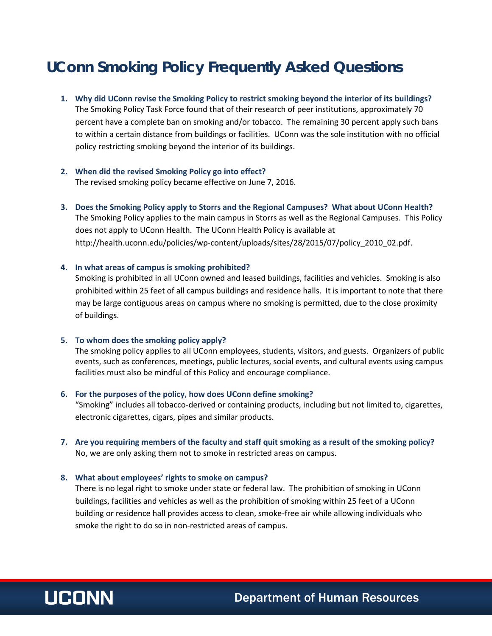# **UConn Smoking Policy Frequently Asked Questions**

- **1. Why did UConn revise the Smoking Policy to restrict smoking beyond the interior of its buildings?**  The Smoking Policy Task Force found that of their research of peer institutions, approximately 70 percent have a complete ban on smoking and/or tobacco. The remaining 30 percent apply such bans to within a certain distance from buildings or facilities. UConn was the sole institution with no official policy restricting smoking beyond the interior of its buildings.
- **2. When did the revised Smoking Policy go into effect?** The revised smoking policy became effective on June 7, 2016.
- **3. Does the Smoking Policy apply to Storrs and the Regional Campuses? What about UConn Health?** The Smoking Policy applies to the main campus in Storrs as well as the Regional Campuses. This Policy does not apply to UConn Health. The UConn Health Policy is available at http://health.uconn.edu/policies/wp-content/uploads/sites/28/2015/07/policy\_2010\_02.pdf.

## **4. In what areas of campus is smoking prohibited?**

Smoking is prohibited in all UConn owned and leased buildings, facilities and vehicles. Smoking is also prohibited within 25 feet of all campus buildings and residence halls. It is important to note that there may be large contiguous areas on campus where no smoking is permitted, due to the close proximity of buildings.

#### **5. To whom does the smoking policy apply?**

The smoking policy applies to all UConn employees, students, visitors, and guests. Organizers of public events, such as conferences, meetings, public lectures, social events, and cultural events using campus facilities must also be mindful of this Policy and encourage compliance.

## **6. For the purposes of the policy, how does UConn define smoking?**

"Smoking" includes all tobacco-derived or containing products, including but not limited to, cigarettes, electronic cigarettes, cigars, pipes and similar products.

**7. Are you requiring members of the faculty and staff quit smoking as a result of the smoking policy?** No, we are only asking them not to smoke in restricted areas on campus.

#### **8. What about employees' rights to smoke on campus?**

There is no legal right to smoke under state or federal law. The prohibition of smoking in UConn buildings, facilities and vehicles as well as the prohibition of smoking within 25 feet of a UConn building or residence hall provides access to clean, smoke-free air while allowing individuals who smoke the right to do so in non-restricted areas of campus.